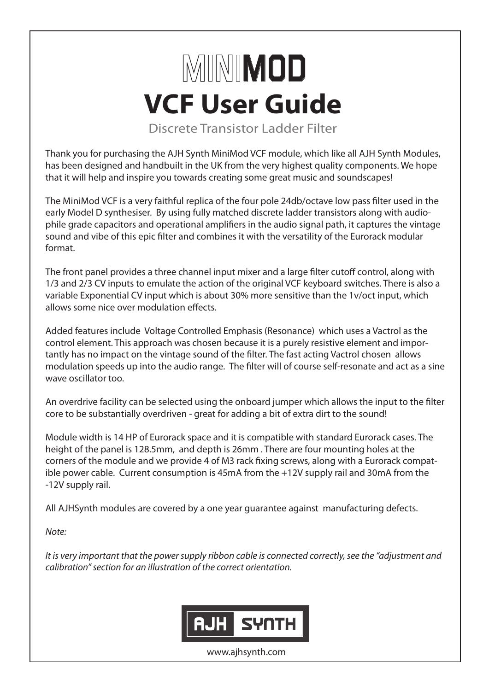## **VCF User Guide** MINIMOD

Discrete Transistor Ladder Filter

Thank you for purchasing the AJH Synth MiniMod VCF module, which like all AJH Synth Modules, has been designed and handbuilt in the UK from the very highest quality components. We hope that it will help and inspire you towards creating some great music and soundscapes!

The MiniMod VCF is a very faithful replica of the four pole 24db/octave low pass filter used in the early Model D synthesiser. By using fully matched discrete ladder transistors along with audiophile grade capacitors and operational amplifiers in the audio signal path, it captures the vintage sound and vibe of this epic filter and combines it with the versatility of the Eurorack modular format.

The front panel provides a three channel input mixer and a large filter cutoff control, along with 1/3 and 2/3 CV inputs to emulate the action of the original VCF keyboard switches. There is also a variable Exponential CV input which is about 30% more sensitive than the 1v/oct input, which allows some nice over modulation effects.

Added features include Voltage Controlled Emphasis (Resonance) which uses a Vactrol as the control element. This approach was chosen because it is a purely resistive element and importantly has no impact on the vintage sound of the filter. The fast acting Vactrol chosen allows modulation speeds up into the audio range. The filter will of course self-resonate and act as a sine wave oscillator too.

An overdrive facility can be selected using the onboard jumper which allows the input to the filter core to be substantially overdriven - great for adding a bit of extra dirt to the sound!

Module width is 14 HP of Eurorack space and it is compatible with standard Eurorack cases. The height of the panel is 128.5mm, and depth is 26mm . There are four mounting holes at the corners of the module and we provide 4 of M3 rack fixing screws, along with a Eurorack compatible power cable. Current consumption is 45mA from the +12V supply rail and 30mA from the -12V supply rail.

All AJHSynth modules are covered by a one year guarantee against manufacturing defects.

*Note:*

*It is very important that the power supply ribbon cable is connected correctly, see the "adjustment and calibration" section for an illustration of the correct orientation.* 



www.ajhsynth.com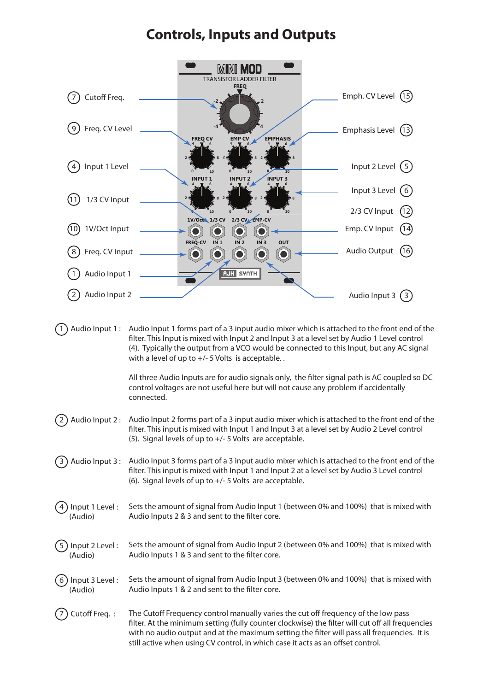## **Controls, Inputs and Outputs**

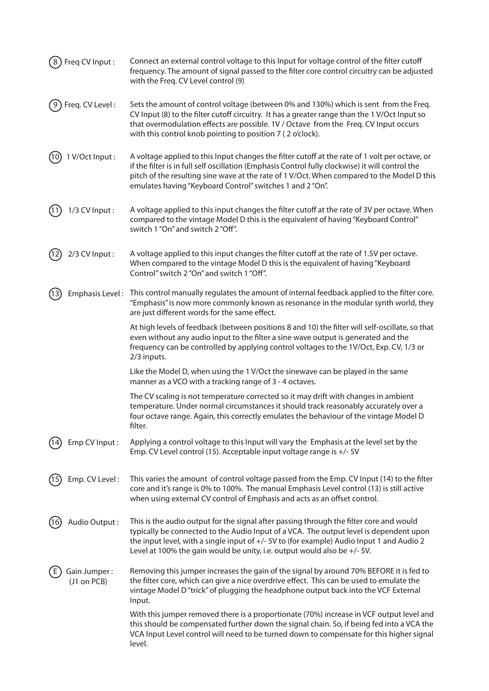| Freq CV Input:<br>8         | Connect an external control voltage to this Input for voltage control of the filter cutoff<br>frequency. The amount of signal passed to the filter core control circuitry can be adjusted<br>with the Freq. CV Level control (9)                                                                                                                              |
|-----------------------------|---------------------------------------------------------------------------------------------------------------------------------------------------------------------------------------------------------------------------------------------------------------------------------------------------------------------------------------------------------------|
| Freq. CV Level:             | Sets the amount of control voltage (between 0% and 130%) which is sent from the Freq.<br>CV Input (8) to the filter cutoff circuitry. It has a greater range than the 1 V/Oct Input so<br>that overmodulation effects are possible. 1V / Octave from the Freq. CV Input occurs<br>with this control knob pointing to position 7 (2 o'clock).                  |
| 1 V/Oct Input:<br>(10)      | A voltage applied to this Input changes the filter cutoff at the rate of 1 volt per octave, or<br>if the filter is in full self oscillation (Emphasis Control fully clockwise) it will control the<br>pitch of the resulting sine wave at the rate of 1 V/Oct. When compared to the Model D this<br>emulates having "Keyboard Control" switches 1 and 2 "On". |
| 1/3 CV Input:               | A voltage applied to this input changes the filter cutoff at the rate of 3V per octave. When<br>compared to the vintage Model D this is the equivalent of having "Keyboard Control"<br>switch 1 "On" and switch 2 "Off".                                                                                                                                      |
| 2/3 CV Input:               | A voltage applied to this input changes the filter cutoff at the rate of 1.5V per octave.<br>When compared to the vintage Model D this is the equivalent of having "Keyboard<br>Control" switch 2 "On" and switch 1 "Off".                                                                                                                                    |
| (13)                        | Emphasis Level: This control manually regulates the amount of internal feedback applied to the filter core.<br>"Emphasis" is now more commonly known as resonance in the modular synth world, they<br>are just different words for the same effect.                                                                                                           |
|                             | At high levels of feedback (between positions 8 and 10) the filter will self-oscillate, so that<br>even without any audio input to the filter a sine wave output is generated and the<br>frequency can be controlled by applying control voltages to the 1V/Oct, Exp. CV, 1/3 or<br>2/3 inputs.                                                               |
|                             | Like the Model D, when using the 1 V/Oct the sinewave can be played in the same<br>manner as a VCO with a tracking range of 3 - 4 octaves.                                                                                                                                                                                                                    |
|                             | The CV scaling is not temperature corrected so it may drift with changes in ambient<br>temperature. Under normal circumstances it should track reasonably accurately over a<br>four octave range. Again, this correctly emulates the behaviour of the vintage Model D<br>filter.                                                                              |
| Emp CV Input:               | Applying a control voltage to this Input will vary the Emphasis at the level set by the<br>Emp. CV Level control (15). Acceptable input voltage range is +/- 5V                                                                                                                                                                                               |
| Emp. CV Level:              | This varies the amount of control voltage passed from the Emp. CV Input (14) to the filter<br>core and it's range is 0% to 100%. The manual Emphasis Level control (13) is still active<br>when using external CV control of Emphasis and acts as an offset control.                                                                                          |
| Audio Output:<br>16         | This is the audio output for the signal after passing through the filter core and would<br>typically be connected to the Audio Input of a VCA. The output level is dependent upon<br>the input level, with a single input of +/- 5V to (for example) Audio Input 1 and Audio 2<br>Level at 100% the gain would be unity, i.e. output would also be $+/-5V$ .  |
| Gain Jumper:<br>(J1 on PCB) | Removing this jumper increases the gain of the signal by around 70% BEFORE it is fed to<br>the filter core, which can give a nice overdrive effect. This can be used to emulate the<br>vintage Model D "trick" of plugging the headphone output back into the VCF External<br>Input.                                                                          |
|                             | With this jumper removed there is a proportionate (70%) increase in VCF output level and<br>this should be compensated further down the signal chain. So, if being fed into a VCA the<br>VCA Input Level control will need to be turned down to compensate for this higher signal<br>level.                                                                   |